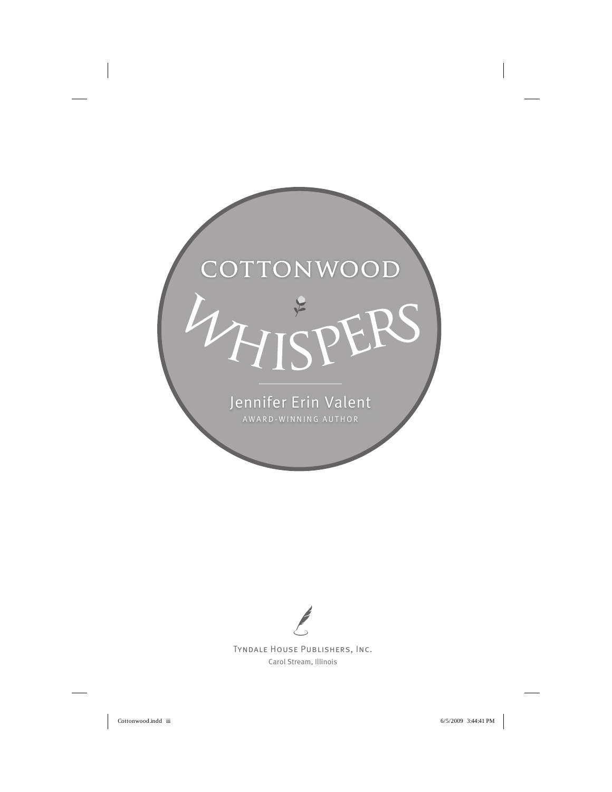



Tyndale House Publishers, Inc. Carol Stream, Illinois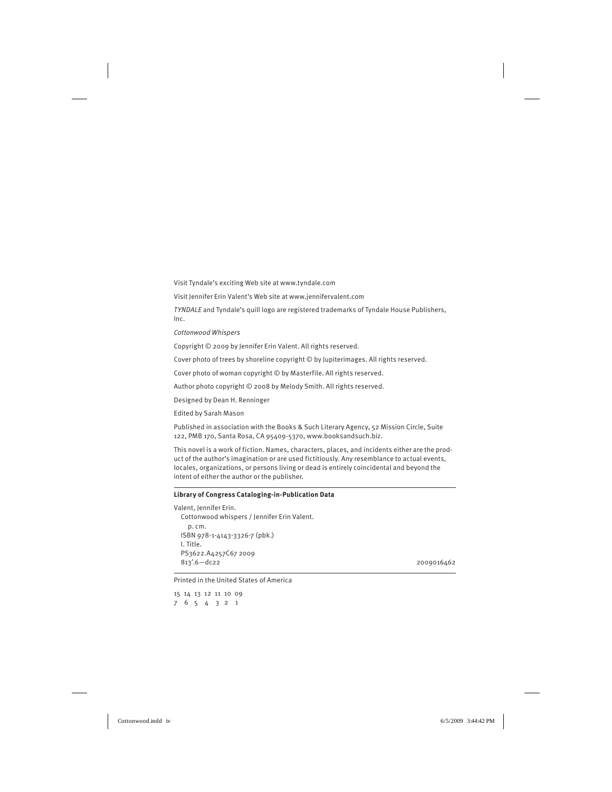Visit Tyndale's exciting Web site at www.tyndale.com

Visit Jennifer Erin Valent's Web site at www.jennifervalent.com

*TYNDALE* and Tyndale's quill logo are registered trademarks of Tyndale House Publishers, Inc.

*Cottonwood Whispers*

Copyright © 2009 by Jennifer Erin Valent. All rights reserved.

Cover photo of trees by shoreline copyright © by Jupiterimages. All rights reserved.

Cover photo of woman copyright © by Masterfile. All rights reserved.

Author photo copyright © 2008 by Melody Smith. All rights reserved.

Designed by Dean H. Renninger

Edited by Sarah Mason

Published in association with the Books & Such Literary Agency, 52 Mission Circle, Suite 122, PMB 170, Santa Rosa, CA 95409-5370, www.booksandsuch.biz.

This novel is a work of fiction. Names, characters, places, and incidents either are the product of the author's imagination or are used fictitiously. Any resemblance to actual events, locales, organizations, or persons living or dead is entirely coincidental and beyond the intent of either the author or the publisher.

#### **Library of Congress Cataloging-in-Publication Data**

```
Valent, Jennifer Erin.
Cottonwood whispers / Jennifer Erin Valent.
  p. cm.
ISBN 978-1-4143-3326-7 (pbk.)
I. Title.
PS3622.A4257C67 2009
813′.6—dc22 2009016462
```
Printed in the United States of America

15 14 13 12 11 10 09 7 6 5 4 3 2 1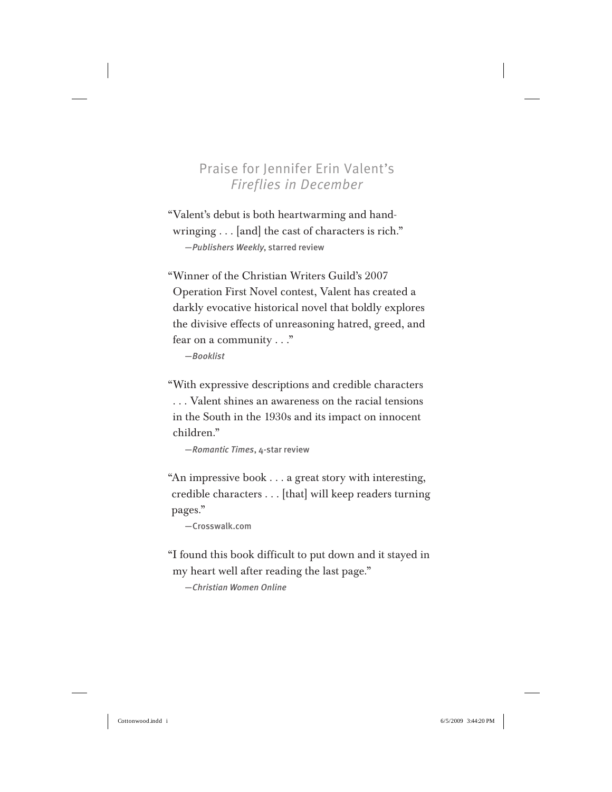## Praise for Jennifer Erin Valent's *Fireflies in December*

" Valent's debut is both heartwarming and handwringing . . . [and] the cast of characters is rich." *—Publishers Weekly*, starred review

" Winner of the Christian Writers Guild's 2007 Operation First Novel contest, Valent has created a darkly evocative historical novel that boldly explores the divisive effects of unreasoning hatred, greed, and fear on a community . . ."

—*Booklist*

" With expressive descriptions and credible characters . . . Valent shines an awareness on the racial tensions in the South in the 1930s and its impact on innocent children<sup>"</sup>

—*Romantic Times*, 4-star review

" An impressive book . . . a great story with interesting, credible characters . . . [that] will keep readers turning pages."

—Crosswalk.com

"I found this book difficult to put down and it stayed in my heart well after reading the last page."

—*Christian Women Online*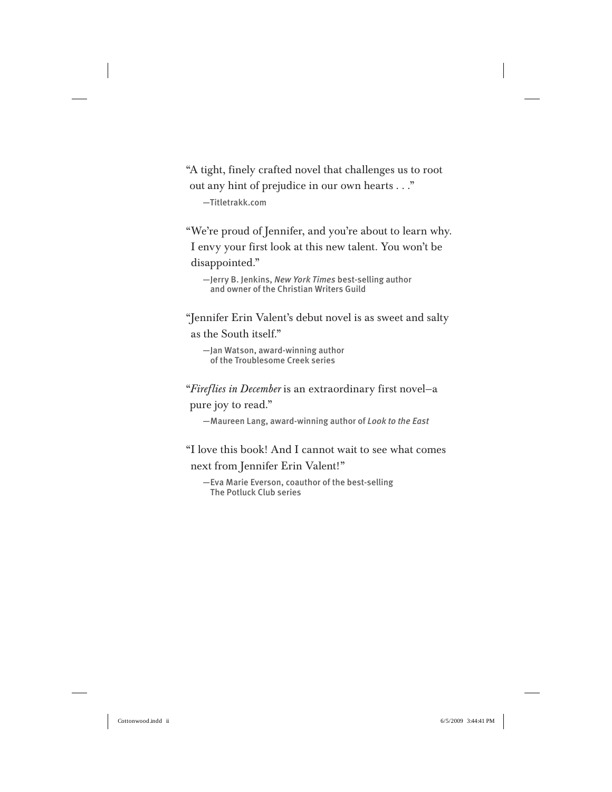" A tight, finely crafted novel that challenges us to root out any hint of prejudice in our own hearts . . ."

—Titletrakk.com

" We're proud of Jennifer, and you're about to learn why. I envy your first look at this new talent. You won't be disappointed."

— Jerry B. Jenkins, *New York Times* best-selling author and owner of the Christian Writers Guild

" Jennifer Erin Valent's debut novel is as sweet and salty as the South itself."

— Jan Watson, award-winning author of the Troublesome Creek series

" *Fireflies in December* is an extraordinary first novel—a pure joy to read."

—Maureen Lang, award-winning author of *Look to the East*

"I love this book! And I cannot wait to see what comes next from Jennifer Erin Valent!"

— Eva Marie Everson, coauthor of the best-selling The Potluck Club series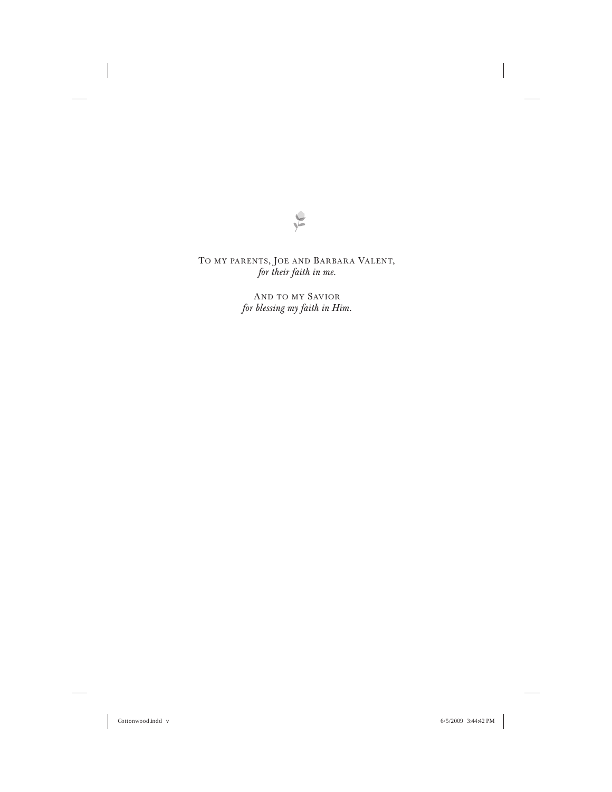# $\epsilon$

### TO MY PARENTS, JOE AND BARBARA VALENT, *for their faith in me.*

AND TO MY SAVIOR *for blessing my faith in Him.*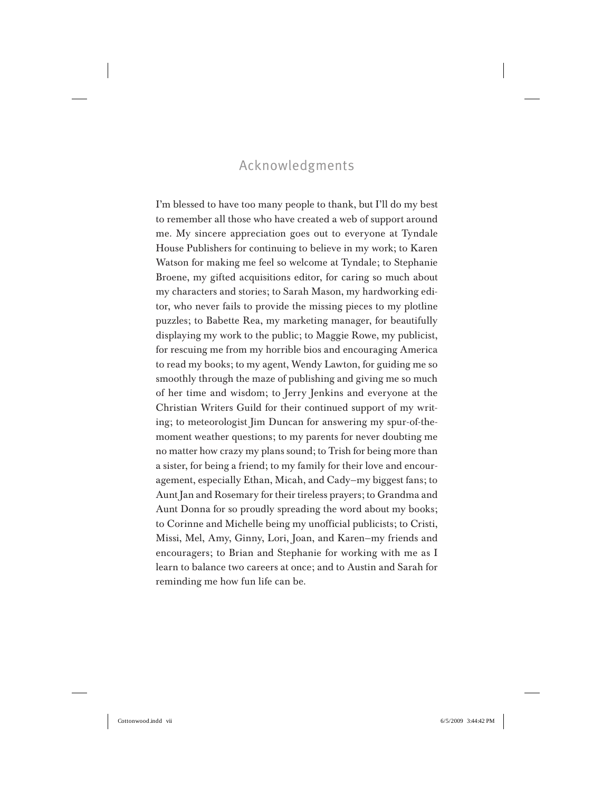## Acknowledgments

I'm blessed to have too many people to thank, but I'll do my best to remember all those who have created a web of support around me. My sincere appreciation goes out to everyone at Tyndale House Publishers for continuing to believe in my work; to Karen Watson for making me feel so welcome at Tyndale; to Stephanie Broene, my gifted acquisitions editor, for caring so much about my characters and stories; to Sarah Mason, my hardworking editor, who never fails to provide the missing pieces to my plotline puzzles; to Babette Rea, my marketing manager, for beautifully displaying my work to the public; to Maggie Rowe, my publicist, for rescuing me from my horrible bios and encouraging America to read my books; to my agent, Wendy Lawton, for guiding me so smoothly through the maze of publishing and giving me so much of her time and wisdom; to Jerry Jenkins and everyone at the Christian Writers Guild for their continued support of my writing; to meteorologist Jim Duncan for answering my spur-of-themoment weather questions; to my parents for never doubting me no matter how crazy my plans sound; to Trish for being more than a sister, for being a friend; to my family for their love and encouragement, especially Ethan, Micah, and Cady—my biggest fans; to Aunt Jan and Rosemary for their tireless prayers; to Grandma and Aunt Donna for so proudly spreading the word about my books; to Corinne and Michelle being my unofficial publicists; to Cristi, Missi, Mel, Amy, Ginny, Lori, Joan, and Karen—my friends and encouragers; to Brian and Stephanie for working with me as I learn to balance two careers at once; and to Austin and Sarah for reminding me how fun life can be.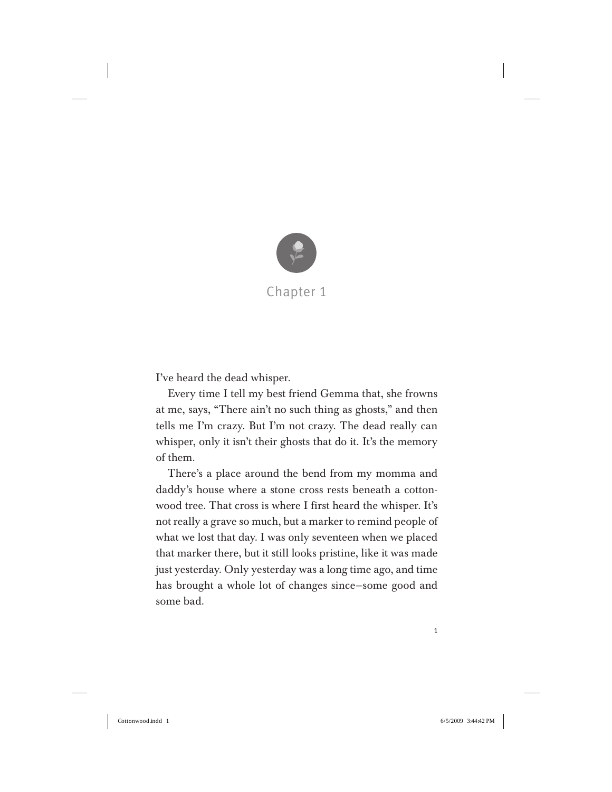

I've heard the dead whisper.

Every time I tell my best friend Gemma that, she frowns at me, says, "There ain't no such thing as ghosts," and then tells me I'm crazy. But I'm not crazy. The dead really can whisper, only it isn't their ghosts that do it. It's the memory of them.

There's a place around the bend from my momma and daddy's house where a stone cross rests beneath a cottonwood tree. That cross is where I first heard the whisper. It's not really a grave so much, but a marker to remind people of what we lost that day. I was only seventeen when we placed that marker there, but it still looks pristine, like it was made just yesterday. Only yesterday was a long time ago, and time has brought a whole lot of changes since—some good and some bad.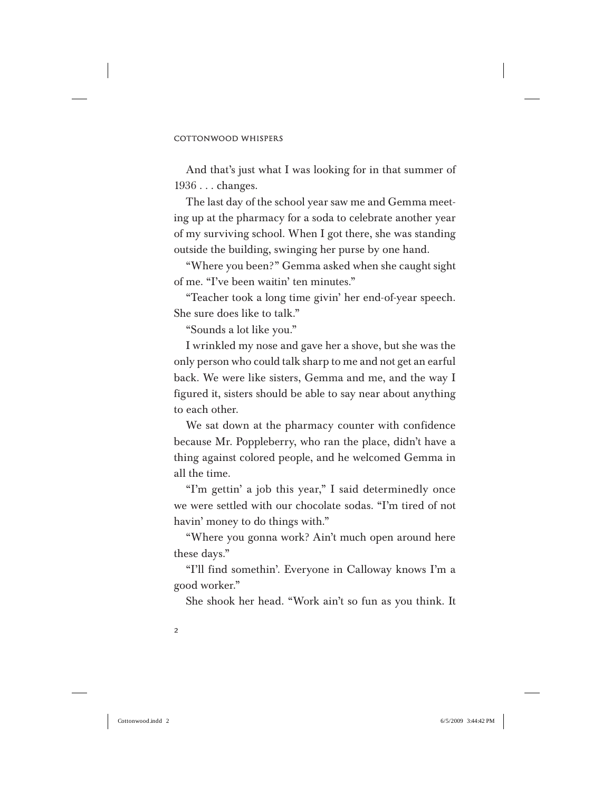And that's just what I was looking for in that summer of 1936 . . . changes.

The last day of the school year saw me and Gemma meeting up at the pharmacy for a soda to celebrate another year of my surviving school. When I got there, she was standing outside the building, swinging her purse by one hand.

"Where you been?" Gemma asked when she caught sight of me. "I've been waitin' ten minutes."

"Teacher took a long time givin' her end-of-year speech. She sure does like to talk."

"Sounds a lot like you."

I wrinkled my nose and gave her a shove, but she was the only person who could talk sharp to me and not get an earful back. We were like sisters, Gemma and me, and the way I figured it, sisters should be able to say near about anything to each other.

We sat down at the pharmacy counter with confidence because Mr. Poppleberry, who ran the place, didn't have a thing against colored people, and he welcomed Gemma in all the time.

"I'm gettin' a job this year," I said determinedly once we were settled with our chocolate sodas. "I'm tired of not havin' money to do things with."

"Where you gonna work? Ain't much open around here these days."

"I'll find somethin'. Everyone in Calloway knows I'm a good worker."

She shook her head. "Work ain't so fun as you think. It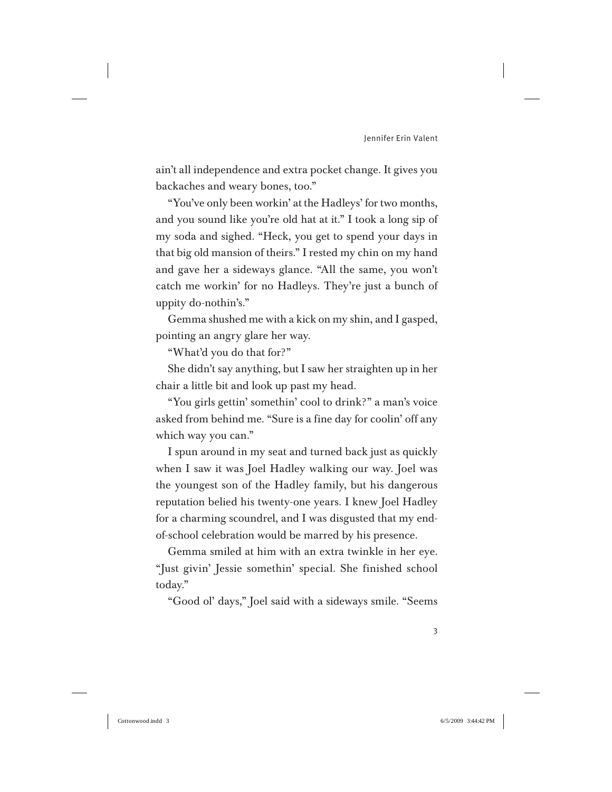ain't all independence and extra pocket change. It gives you backaches and weary bones, too."

"You've only been workin' at the Hadleys' for two months, and you sound like you're old hat at it." I took a long sip of my soda and sighed. "Heck, you get to spend your days in that big old mansion of theirs." I rested my chin on my hand and gave her a sideways glance. "All the same, you won't catch me workin' for no Hadleys. They're just a bunch of uppity do-nothin's."

Gemma shushed me with a kick on my shin, and I gasped, pointing an angry glare her way.

"What'd you do that for?"

She didn't say anything, but I saw her straighten up in her chair a little bit and look up past my head.

"You girls gettin' somethin' cool to drink?" a man's voice asked from behind me. "Sure is a fine day for coolin' off any which way you can."

I spun around in my seat and turned back just as quickly when I saw it was Joel Hadley walking our way. Joel was the youngest son of the Hadley family, but his dangerous reputation belied his twenty-one years. I knew Joel Hadley for a charming scoundrel, and I was disgusted that my endof-school celebration would be marred by his presence.

Gemma smiled at him with an extra twinkle in her eye. "Just givin' Jessie somethin' special. She finished school today."

"Good ol' days," Joel said with a sideways smile. "Seems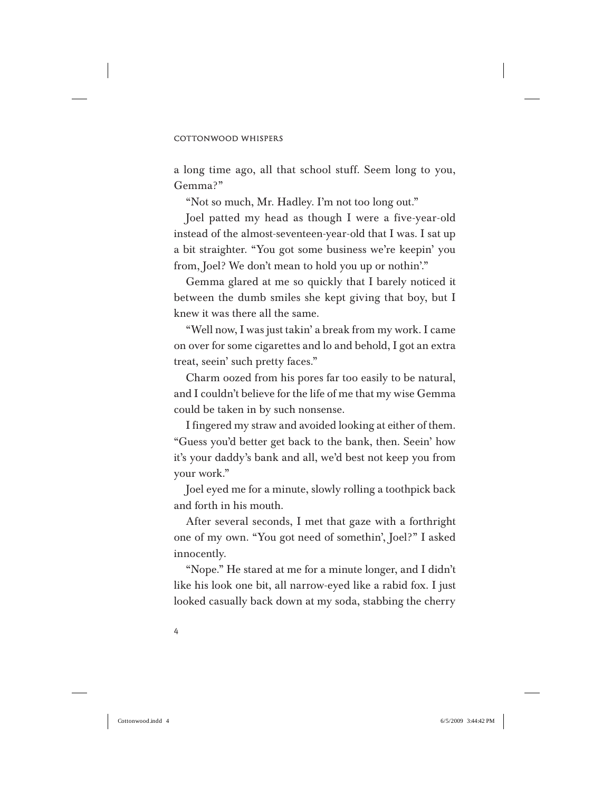a long time ago, all that school stuff. Seem long to you, Gemma?"

"Not so much, Mr. Hadley. I'm not too long out."

Joel patted my head as though I were a five-year-old instead of the almost-seventeen-year-old that I was. I sat up a bit straighter. "You got some business we're keepin' you from, Joel? We don't mean to hold you up or nothin'."

Gemma glared at me so quickly that I barely noticed it between the dumb smiles she kept giving that boy, but I knew it was there all the same.

"Well now, I was just takin' a break from my work. I came on over for some cigarettes and lo and behold, I got an extra treat, seein' such pretty faces."

Charm oozed from his pores far too easily to be natural, and I couldn't believe for the life of me that my wise Gemma could be taken in by such nonsense.

I fingered my straw and avoided looking at either of them. "Guess you'd better get back to the bank, then. Seein' how it's your daddy's bank and all, we'd best not keep you from your work."

Joel eyed me for a minute, slowly rolling a toothpick back and forth in his mouth.

After several seconds, I met that gaze with a forthright one of my own. "You got need of somethin', Joel?" I asked innocently.

"Nope." He stared at me for a minute longer, and I didn't like his look one bit, all narrow-eyed like a rabid fox. I just looked casually back down at my soda, stabbing the cherry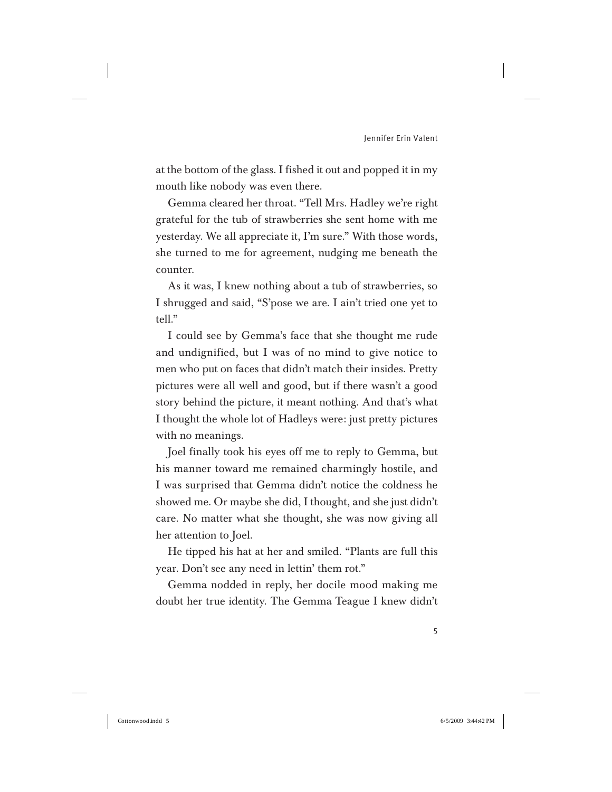at the bottom of the glass. I fished it out and popped it in my mouth like nobody was even there.

Gemma cleared her throat. "Tell Mrs. Hadley we're right grateful for the tub of strawberries she sent home with me yesterday. We all appreciate it, I'm sure." With those words, she turned to me for agreement, nudging me beneath the counter.

As it was, I knew nothing about a tub of strawberries, so I shrugged and said, "S'pose we are. I ain't tried one yet to tell."

I could see by Gemma's face that she thought me rude and undignified, but I was of no mind to give notice to men who put on faces that didn't match their insides. Pretty pictures were all well and good, but if there wasn't a good story behind the picture, it meant nothing. And that's what I thought the whole lot of Hadleys were: just pretty pictures with no meanings.

Joel finally took his eyes off me to reply to Gemma, but his manner toward me remained charmingly hostile, and I was surprised that Gemma didn't notice the coldness he showed me. Or maybe she did, I thought, and she just didn't care. No matter what she thought, she was now giving all her attention to Joel.

He tipped his hat at her and smiled. "Plants are full this year. Don't see any need in lettin' them rot."

Gemma nodded in reply, her docile mood making me doubt her true identity. The Gemma Teague I knew didn't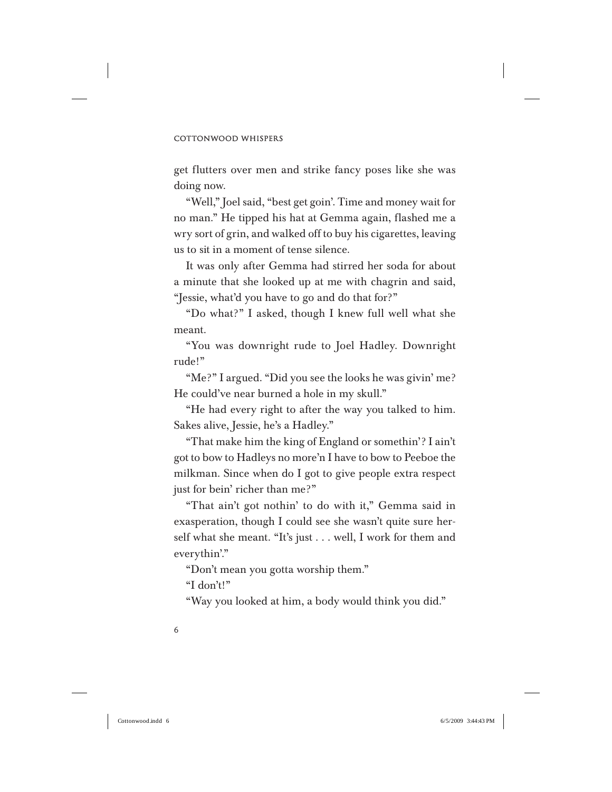get flutters over men and strike fancy poses like she was doing now.

"Well," Joel said, "best get goin'. Time and money wait for no man." He tipped his hat at Gemma again, flashed me a wry sort of grin, and walked off to buy his cigarettes, leaving us to sit in a moment of tense silence.

It was only after Gemma had stirred her soda for about a minute that she looked up at me with chagrin and said, "Iessie, what'd you have to go and do that for?"

"Do what?" I asked, though I knew full well what she meant.

"You was downright rude to Joel Hadley. Downright rude!"

"Me?" I argued. "Did you see the looks he was givin' me? He could've near burned a hole in my skull."

"He had every right to after the way you talked to him. Sakes alive, Jessie, he's a Hadley."

"That make him the king of England or somethin'? I ain't got to bow to Hadleys no more'n I have to bow to Peeboe the milkman. Since when do I got to give people extra respect just for bein' richer than me?"

"That ain't got nothin' to do with it," Gemma said in exasperation, though I could see she wasn't quite sure herself what she meant. "It's just . . . well, I work for them and everythin'."

"Don't mean you gotta worship them."

"I don't!"

"Way you looked at him, a body would think you did."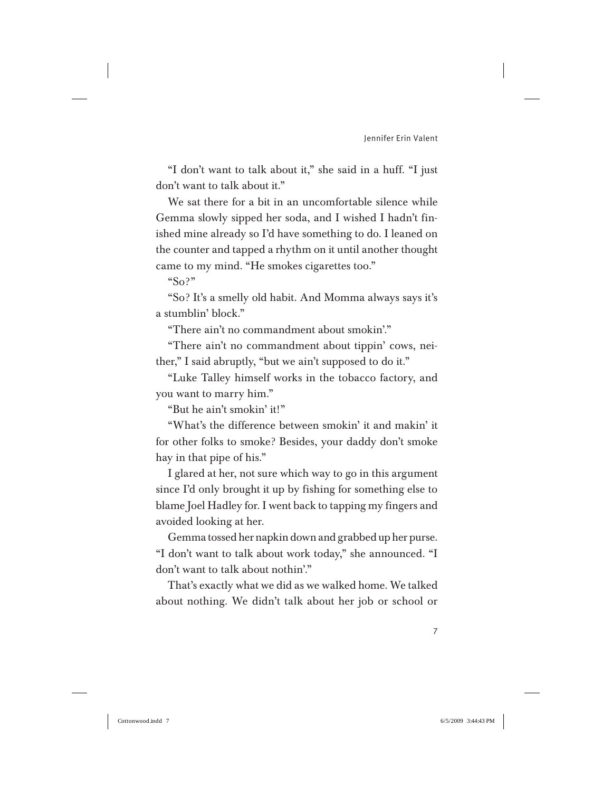"I don't want to talk about it," she said in a huff. "I just don't want to talk about it."

We sat there for a bit in an uncomfortable silence while Gemma slowly sipped her soda, and I wished I hadn't finished mine already so I'd have something to do. I leaned on the counter and tapped a rhythm on it until another thought came to my mind. "He smokes cigarettes too."

 $``S<sub>0</sub>$ ?"

"So? It's a smelly old habit. And Momma always says it's a stumblin' block."

"There ain't no commandment about smokin'."

"There ain't no commandment about tippin' cows, neither," I said abruptly, "but we ain't supposed to do it."

"Luke Talley himself works in the tobacco factory, and you want to marry him."

"But he ain't smokin' it!"

"What's the difference between smokin' it and makin' it for other folks to smoke? Besides, your daddy don't smoke hay in that pipe of his."

I glared at her, not sure which way to go in this argument since I'd only brought it up by fishing for something else to blame Joel Hadley for. I went back to tapping my fingers and avoided looking at her.

Gemma tossed her napkin down and grabbed up her purse. "I don't want to talk about work today," she announced. "I don't want to talk about nothin'."

That's exactly what we did as we walked home. We talked about nothing. We didn't talk about her job or school or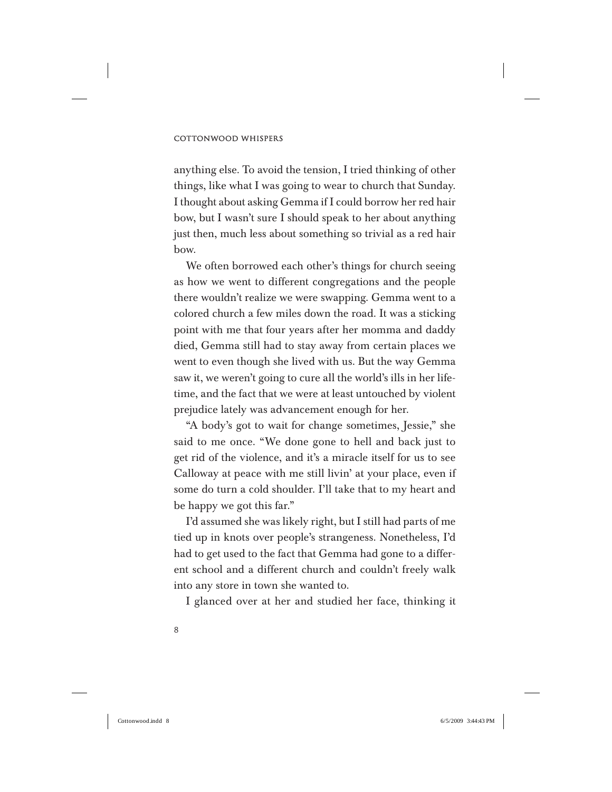anything else. To avoid the tension, I tried thinking of other things, like what I was going to wear to church that Sunday. I thought about asking Gemma if I could borrow her red hair bow, but I wasn't sure I should speak to her about anything just then, much less about something so trivial as a red hair bow.

We often borrowed each other's things for church seeing as how we went to different congregations and the people there wouldn't realize we were swapping. Gemma went to a colored church a few miles down the road. It was a sticking point with me that four years after her momma and daddy died, Gemma still had to stay away from certain places we went to even though she lived with us. But the way Gemma saw it, we weren't going to cure all the world's ills in her lifetime, and the fact that we were at least untouched by violent prejudice lately was advancement enough for her.

"A body's got to wait for change sometimes, Jessie," she said to me once. "We done gone to hell and back just to get rid of the violence, and it's a miracle itself for us to see Calloway at peace with me still livin' at your place, even if some do turn a cold shoulder. I'll take that to my heart and be happy we got this far."

I'd assumed she was likely right, but I still had parts of me tied up in knots over people's strangeness. Nonetheless, I'd had to get used to the fact that Gemma had gone to a different school and a different church and couldn't freely walk into any store in town she wanted to.

I glanced over at her and studied her face, thinking it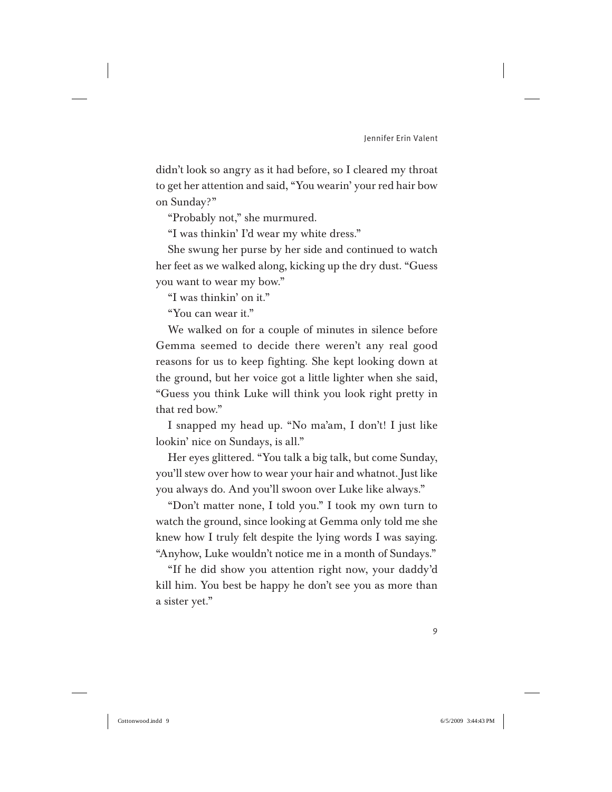didn't look so angry as it had before, so I cleared my throat to get her attention and said, "You wearin' your red hair bow on Sunday?"

"Probably not," she murmured.

"I was thinkin' I'd wear my white dress."

She swung her purse by her side and continued to watch her feet as we walked along, kicking up the dry dust. "Guess you want to wear my bow."

"I was thinkin' on it."

"You can wear it."

We walked on for a couple of minutes in silence before Gemma seemed to decide there weren't any real good reasons for us to keep fighting. She kept looking down at the ground, but her voice got a little lighter when she said, "Guess you think Luke will think you look right pretty in that red bow."

I snapped my head up. "No ma'am, I don't! I just like lookin' nice on Sundays, is all."

Her eyes glittered. "You talk a big talk, but come Sunday, you'll stew over how to wear your hair and whatnot. Just like you always do. And you'll swoon over Luke like always."

"Don't matter none, I told you." I took my own turn to watch the ground, since looking at Gemma only told me she knew how I truly felt despite the lying words I was saying. "Anyhow, Luke wouldn't notice me in a month of Sundays."

"If he did show you attention right now, your daddy'd kill him. You best be happy he don't see you as more than a sister yet."